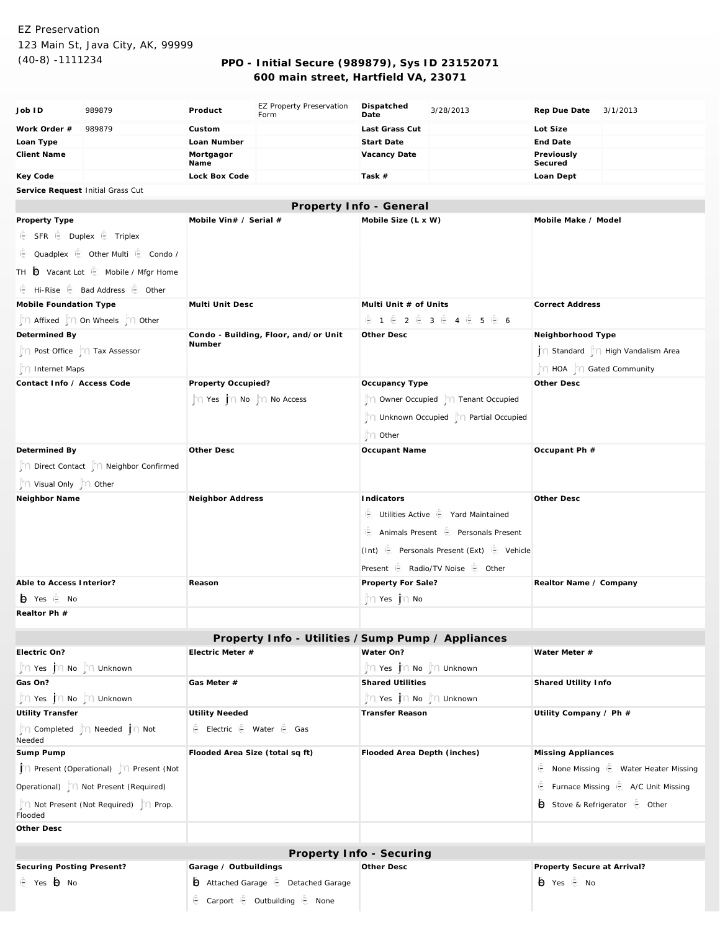# EZ Preservation 123 Main St, Java City, AK, 99999

## (40-8) -1111234 **PPO - Initial Secure (989879), Sys ID 23152071 600 main street, Hartfield VA, 23071**

| Job ID                                          | 989879                                                   | Product                                        | <b>EZ Property Preservation</b><br>Form            | Dispatched<br>Date                      | 3/28/2013                                           | Rep Due Date              | 3/1/2013                                   |  |
|-------------------------------------------------|----------------------------------------------------------|------------------------------------------------|----------------------------------------------------|-----------------------------------------|-----------------------------------------------------|---------------------------|--------------------------------------------|--|
| Work Order #                                    | 989879                                                   | Custom                                         |                                                    | Last Grass Cut                          |                                                     | Lot Size                  |                                            |  |
| Loan Type                                       |                                                          | Loan Number                                    |                                                    | Start Date                              |                                                     | End Date                  |                                            |  |
| <b>Client Name</b>                              |                                                          | Mortgagor<br>Name                              |                                                    | Vacancy Date                            |                                                     | Previously<br>Secured     |                                            |  |
| Key Code                                        |                                                          | Lock Box Code                                  |                                                    | Task #                                  |                                                     | Loan Dept                 |                                            |  |
|                                                 | Service Request Initial Grass Cut                        |                                                |                                                    |                                         |                                                     |                           |                                            |  |
|                                                 |                                                          |                                                |                                                    | Property Info - General                 |                                                     |                           |                                            |  |
| Property Type                                   |                                                          | Mobile Vin# / Serial #                         |                                                    | Mobile Size (L x W)                     |                                                     |                           | Mobile Make / Model                        |  |
| E SFR E Duplex E Triplex                        |                                                          |                                                |                                                    |                                         |                                                     |                           |                                            |  |
|                                                 | ie Quadplex ie Other Multi ie Condo /                    |                                                |                                                    |                                         |                                                     |                           |                                            |  |
|                                                 | TH $\bigoplus$ Vacant Lot $\bigoplus$ Mobile / Mfgr Home |                                                |                                                    |                                         |                                                     |                           |                                            |  |
|                                                 | E Hi-Rise E Bad Address E Other                          |                                                |                                                    |                                         |                                                     |                           |                                            |  |
| Mobile Foundation Type                          |                                                          | Multi Unit Desc                                |                                                    | Multi Unit # of Units                   |                                                     | <b>Correct Address</b>    |                                            |  |
|                                                 | n Affixed no Wheels no Other                             |                                                |                                                    | <b>©1 © 2 © 3 © 4 © 5 © 6</b>           |                                                     |                           |                                            |  |
| Determined By                                   |                                                          | Condo - Building, Floor, and/or Unit<br>Number |                                                    | Other Desc                              |                                                     | Neighborhood Type         |                                            |  |
| n Post Office n Tax Assessor                    |                                                          |                                                |                                                    |                                         |                                                     |                           | Standard     High Vandalism Area           |  |
| nternet Maps                                    |                                                          |                                                |                                                    |                                         |                                                     | ∩ HOA   ∩ Gated Community |                                            |  |
| Contact Info / Access Code                      |                                                          | Property Occupied?                             | Occupancy Type                                     |                                         | Other Desc                                          |                           |                                            |  |
|                                                 |                                                          | n Yes no no no Access                          |                                                    | Owner Occupied     Tenant Occupied      |                                                     |                           |                                            |  |
|                                                 |                                                          |                                                |                                                    | ™ Unknown Occupied   n Partial Occupied |                                                     |                           |                                            |  |
|                                                 |                                                          |                                                |                                                    | n Other                                 |                                                     |                           |                                            |  |
| Determined By                                   |                                                          | Other Desc                                     |                                                    | Occupant Name                           |                                                     | Occupant Ph #             |                                            |  |
| Direct Contact   n Neighbor Confirmed           |                                                          |                                                |                                                    |                                         |                                                     |                           |                                            |  |
| n Visual Only n Other                           |                                                          |                                                |                                                    |                                         |                                                     |                           |                                            |  |
| Neighbor Name                                   |                                                          | Neighbor Address                               |                                                    | Indicators                              |                                                     | Other Desc                |                                            |  |
|                                                 |                                                          |                                                |                                                    |                                         | Utilities Active is Yard Maintained                 |                           |                                            |  |
|                                                 |                                                          |                                                |                                                    |                                         | <b>E</b> Animals Present <b>E</b> Personals Present |                           |                                            |  |
|                                                 |                                                          |                                                |                                                    |                                         |                                                     |                           |                                            |  |
|                                                 |                                                          |                                                |                                                    |                                         | (Int) is Personals Present (Ext) is Vehicle         |                           |                                            |  |
|                                                 |                                                          |                                                |                                                    |                                         | Present <b>E</b> Radio/TV Noise <b>E</b> Other      |                           |                                            |  |
| Able to Access Interior?                        |                                                          | Reason                                         |                                                    | Property For Sale?                      |                                                     | Realtor Name / Company    |                                            |  |
| io Yes i <sup>®</sup> No                        |                                                          |                                                |                                                    | n Yes jn No                             |                                                     |                           |                                            |  |
| Realtor Ph #                                    |                                                          |                                                |                                                    |                                         |                                                     |                           |                                            |  |
|                                                 |                                                          |                                                | Property Info - Utilities / Sump Pump / Appliances |                                         |                                                     |                           |                                            |  |
| Electric On?                                    |                                                          | Electric Meter #                               |                                                    | Water On?                               |                                                     | Water Meter #             |                                            |  |
| n Yes no no in Unknown                          |                                                          |                                                |                                                    | n Yes no no in Unknown                  |                                                     |                           |                                            |  |
| Gas On?                                         |                                                          | Gas Meter #                                    |                                                    | <b>Shared Utilities</b>                 |                                                     | Shared Utility Info       |                                            |  |
| n Yes no ho in Unknown                          |                                                          |                                                |                                                    | n Yes <b>j</b> n No jn Unknown          |                                                     |                           |                                            |  |
| <b>Utility Transfer</b>                         |                                                          | Utility Needed                                 |                                                    | Transfer Reason                         |                                                     | Utility Company / Ph #    |                                            |  |
| Needed                                          | n Completed n Needed in Not                              | E Electric E Water E Gas                       |                                                    |                                         |                                                     |                           |                                            |  |
| Sump Pump                                       |                                                          | Flooded Area Size (total sq ft)                |                                                    | Flooded Area Depth (inches)             |                                                     | Missing Appliances        |                                            |  |
| ↑↑ Present (Operational)  ↑↑ Present (Not       |                                                          |                                                |                                                    |                                         |                                                     |                           | None Missing $\oplus$ Water Heater Missing |  |
|                                                 | Operational)   Not Present (Required)                    |                                                |                                                    |                                         |                                                     |                           | Furnace Missing E A/C Unit Missing         |  |
| n Not Present (Not Required) n Prop.<br>Flooded |                                                          |                                                |                                                    |                                         |                                                     |                           | Stove & Refrigerator is Other              |  |
| Other Desc                                      |                                                          |                                                |                                                    |                                         |                                                     |                           |                                            |  |
|                                                 |                                                          |                                                |                                                    |                                         |                                                     |                           |                                            |  |

#### **Property Info - Securing**

**Other Desc**

**Securing Posting Present?**

gfedcb Yes gfedcb No

**Garage / Outbuildings b** Attached Garage is Detached Garage E Carport E Outbuilding E None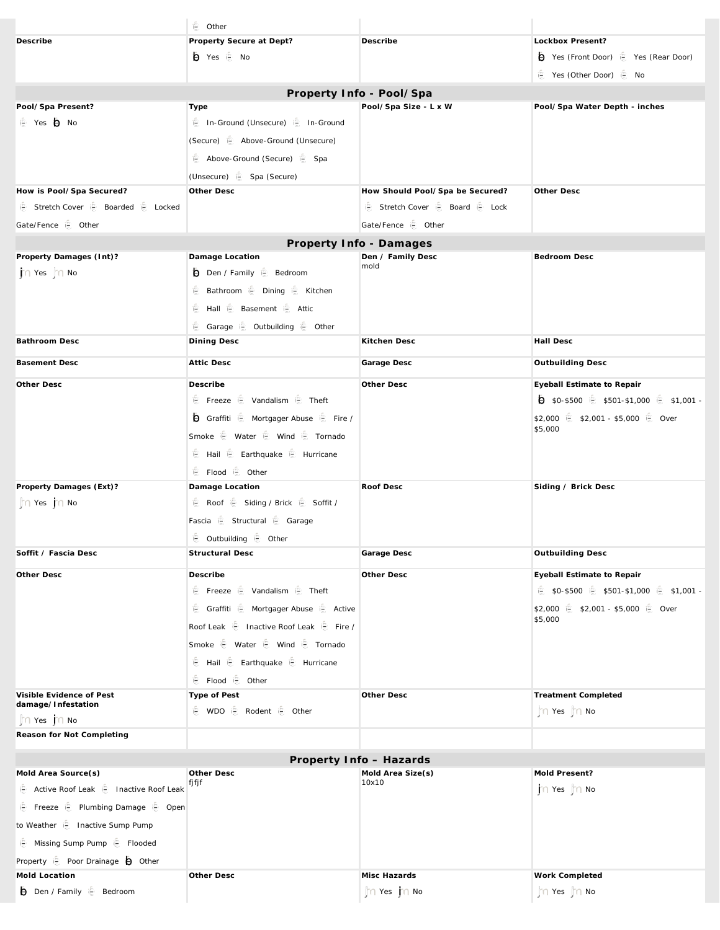|                                                                  | ie Other                                                               |                                            |                                         |  |  |  |
|------------------------------------------------------------------|------------------------------------------------------------------------|--------------------------------------------|-----------------------------------------|--|--|--|
| Describe                                                         | Property Secure at Dept?                                               | Describe                                   | Lockbox Present?                        |  |  |  |
|                                                                  | iii Yes i <sup>6</sup> No                                              |                                            | → Yes (Front Door) ( Yes (Rear Door)    |  |  |  |
|                                                                  |                                                                        |                                            | ie Yes (Other Door) ie No               |  |  |  |
| Property Info - Pool/Spa                                         |                                                                        |                                            |                                         |  |  |  |
| Pool/Spa Present?                                                | Type                                                                   | Pool/Spa Size - L x W                      | Pool/Spa Water Depth - inches           |  |  |  |
| ie Yes io No                                                     | i <sup>6</sup> In-Ground (Unsecure) i <sup>6</sup> In-Ground           |                                            |                                         |  |  |  |
|                                                                  | (Secure) <b>E</b> Above-Ground (Unsecure)                              |                                            |                                         |  |  |  |
|                                                                  | Above-Ground (Secure) is Spa                                           |                                            |                                         |  |  |  |
|                                                                  | (Unsecure) is Spa (Secure)                                             |                                            |                                         |  |  |  |
| How is Pool/Spa Secured?                                         | Other Desc                                                             | How Should Pool/Spa be Secured?            | Other Desc                              |  |  |  |
| ie Stretch Cover ie Boarded ie Locked                            |                                                                        | ie Stretch Cover ie Board ie Lock          |                                         |  |  |  |
| Gate/Fence is Other                                              |                                                                        | Gate/Fence is Other                        |                                         |  |  |  |
|                                                                  |                                                                        | Property Info - Damages                    |                                         |  |  |  |
| Property Damages (Int)?                                          | Damage Location                                                        | Den / Family Desc<br>mold                  | Bedroom Desc                            |  |  |  |
| n Yes no                                                         | Den / Family & Bedroom                                                 |                                            |                                         |  |  |  |
|                                                                  | <b>● Bathroom ● Dining ● Kitchen</b>                                   |                                            |                                         |  |  |  |
|                                                                  | <b>€ Hall € Basement € Attic</b>                                       |                                            |                                         |  |  |  |
|                                                                  | Garage is Outbuilding is Other                                         |                                            |                                         |  |  |  |
| Bathroom Desc                                                    | Dining Desc                                                            | Kitchen Desc                               | Hall Desc                               |  |  |  |
| <b>Basement Desc</b>                                             | <b>Attic Desc</b>                                                      | Garage Desc                                | Outbuilding Desc                        |  |  |  |
| Other Desc                                                       | Describe                                                               | Other Desc                                 | Eyeball Estimate to Repair              |  |  |  |
|                                                                  | <b><i>€</i></b> Freeze <i><b>€</b> Vandalism <b><i>€</i></b> Theft</i> |                                            | 5 \$0-\$500 € \$501-\$1,000 € \$1,001 - |  |  |  |
|                                                                  | Graffiti i Mortgager Abuse i Fire /                                    |                                            | \$2,000 6 \$2,001 - \$5,000 6 Over      |  |  |  |
|                                                                  | Smoke $\oplus$ Water $\oplus$ Wind $\oplus$ Tornado                    |                                            | \$5,000                                 |  |  |  |
|                                                                  | E Hail E Earthquake E Hurricane                                        |                                            |                                         |  |  |  |
|                                                                  | <b>€ Flood € Other</b>                                                 |                                            |                                         |  |  |  |
| Property Damages (Ext)?                                          | Damage Location                                                        | Roof Desc                                  | Siding / Brick Desc                     |  |  |  |
| $\mathbb{T} \cap$ Yes $\mathbb{T} \cap$ No                       | ie Roof ie Siding / Brick ie Soffit /                                  |                                            |                                         |  |  |  |
|                                                                  | Fascia i Structural i Garage                                           |                                            |                                         |  |  |  |
|                                                                  | ie Outbuilding ie Other                                                |                                            |                                         |  |  |  |
| Soffit / Fascia Desc                                             | <b>Structural Desc</b>                                                 | Garage Desc                                | Outbuilding Desc                        |  |  |  |
| Other Desc                                                       | Describe                                                               | Other Desc                                 | Eyeball Estimate to Repair              |  |  |  |
|                                                                  | <b><i>€</i></b> Freeze <i><b>€</b> Vandalism <b><i>€</i></b> Theft</i> |                                            | 1 \$0-\$500 € \$501-\$1,000 € \$1,001 - |  |  |  |
|                                                                  |                                                                        |                                            | \$2,000 6 \$2,001 - \$5,000 6 Over      |  |  |  |
|                                                                  | Roof Leak $\oplus$ Inactive Roof Leak $\oplus$ Fire /                  |                                            | \$5,000                                 |  |  |  |
|                                                                  | Smoke $\oplus$ Water $\oplus$ Wind $\oplus$ Tornado                    |                                            |                                         |  |  |  |
|                                                                  |                                                                        |                                            |                                         |  |  |  |
|                                                                  | i <b>i</b> Flood i <b>i</b> Other                                      |                                            |                                         |  |  |  |
| Visible Evidence of Pest<br>damage/Infestation                   | Type of Pest                                                           | Other Desc                                 | <b>Treatment Completed</b>              |  |  |  |
| $\parallel$ $\cap$ Yes $\parallel$ $\cap$ No                     | <b><i>€</i></b> WDO <i><b>€</b> Rodent <b><i>€</i></b> Other</i>       |                                            | n Yes jn No                             |  |  |  |
| Reason for Not Completing                                        |                                                                        |                                            |                                         |  |  |  |
|                                                                  |                                                                        |                                            |                                         |  |  |  |
|                                                                  | Other Desc                                                             | Property Info - Hazards                    |                                         |  |  |  |
| Mold Area Source(s)<br>Active Roof Leak   Inactive Roof Leak     | fjfjf                                                                  | Mold Area Size(s)<br>10x10                 | Mold Present?<br>n Yes no               |  |  |  |
| E Freeze E Plumbing Damage E Open                                |                                                                        |                                            |                                         |  |  |  |
|                                                                  |                                                                        |                                            |                                         |  |  |  |
| to Weather [ Inactive Sump Pump                                  |                                                                        |                                            |                                         |  |  |  |
| ie Missing Sump Pump ie Flooded                                  |                                                                        |                                            |                                         |  |  |  |
| Property $\oplus$ Poor Drainage $\ominus$ Other<br>Mold Location |                                                                        | Misc Hazards                               |                                         |  |  |  |
| <b>D</b> Den / Family $\oplus$ Bedroom                           | Other Desc                                                             | $\mathbb{M} \cap$ Yes $\mathbb{M} \cap$ No | Work Completed<br>n Yes no              |  |  |  |
|                                                                  |                                                                        |                                            |                                         |  |  |  |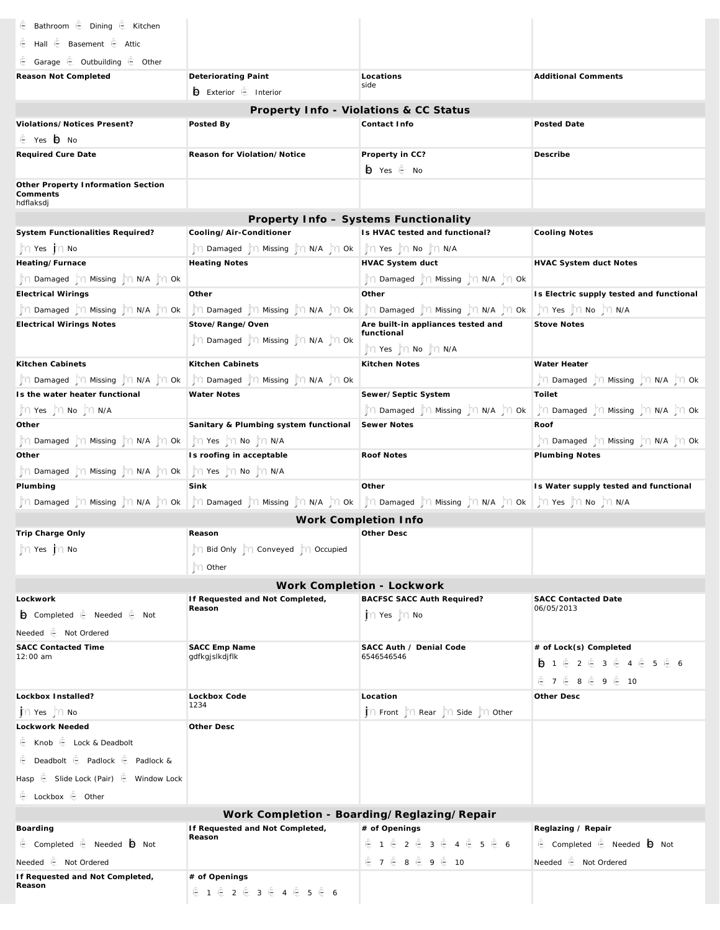| i Bathroom i Dining i Kitchen                                                                                                                          |                                                            |                                                                                                                            |                                                            |  |  |  |
|--------------------------------------------------------------------------------------------------------------------------------------------------------|------------------------------------------------------------|----------------------------------------------------------------------------------------------------------------------------|------------------------------------------------------------|--|--|--|
| ie Hall ie Basement ie Attic                                                                                                                           |                                                            |                                                                                                                            |                                                            |  |  |  |
| ie Garage ie Outbuilding ie Other                                                                                                                      |                                                            |                                                                                                                            |                                                            |  |  |  |
| Reason Not Completed                                                                                                                                   | Deteriorating Paint                                        | Locations                                                                                                                  | <b>Additional Comments</b>                                 |  |  |  |
|                                                                                                                                                        | Exterior is Interior                                       | side                                                                                                                       |                                                            |  |  |  |
|                                                                                                                                                        |                                                            | Property Info - Violations & CC Status                                                                                     |                                                            |  |  |  |
| Violations/Notices Present?                                                                                                                            | Posted By                                                  | Contact Info                                                                                                               | Posted Date                                                |  |  |  |
| i <sup></sup> Yes <b>i</b> No                                                                                                                          |                                                            |                                                                                                                            |                                                            |  |  |  |
| Required Cure Date                                                                                                                                     | Reason for Violation/Notice                                | Property in CC?                                                                                                            | Describe                                                   |  |  |  |
|                                                                                                                                                        |                                                            | io Yes ie No                                                                                                               |                                                            |  |  |  |
| Other Property Information Section<br>Comments                                                                                                         |                                                            |                                                                                                                            |                                                            |  |  |  |
| hdflaksdj                                                                                                                                              |                                                            |                                                                                                                            |                                                            |  |  |  |
| System Functionalities Required?                                                                                                                       | Cooling/Air-Conditioner                                    | Property Info - Systems Functionality<br>Is HVAC tested and functional?                                                    | <b>Cooling Notes</b>                                       |  |  |  |
| $\mathbb{T} \cap$ Yes $\mathbb{T} \cap$ No                                                                                                             |                                                            |                                                                                                                            |                                                            |  |  |  |
| Heating/Furnace                                                                                                                                        | <b>Heating Notes</b>                                       | HVAC System duct                                                                                                           | HVAC System duct Notes                                     |  |  |  |
| n Damaged for Missing for N/A for Ok                                                                                                                   |                                                            | jn Damaged ijn Missing jn N/A jn Ok                                                                                        |                                                            |  |  |  |
| <b>Electrical Wirings</b>                                                                                                                              | Other                                                      | Other                                                                                                                      | Is Electric supply tested and functional                   |  |  |  |
| n Damaged for Missing for N/A for Ok                                                                                                                   | ∬़∩ Damaged  jn Missing  jn N/A  jn Ok                     | ∬़∩ Damaged  ]∩ Missing  ]़∩ N/A  ]∩ Ok                                                                                    | In Yes In No In N/A                                        |  |  |  |
| <b>Electrical Wirings Notes</b>                                                                                                                        | Stove/Range/Oven                                           | Are built-in appliances tested and                                                                                         | <b>Stove Notes</b>                                         |  |  |  |
|                                                                                                                                                        | $\int$ n Damaged $\int$ n Missing $\int$ n N/A $\int$ n Ok | functional<br>∬़∩ Yes  j̇̃∩ No  j̇̃∩ N/A                                                                                   |                                                            |  |  |  |
| Kitchen Cabinets                                                                                                                                       | Kitchen Cabinets                                           | Kitchen Notes                                                                                                              | Water Heater                                               |  |  |  |
| ∬ा Damaged  ा Missing  ा N/A  ा Ok                                                                                                                     | ी∩ Damaged  ो∩ Missing  ो∩ N/A  ो∩ Ok                      |                                                                                                                            | ∬़ी Damaged  ∏़ी Missing  ∏ी N/A  ∏ी Ok                    |  |  |  |
| Is the water heater functional                                                                                                                         | <b>Water Notes</b>                                         | Sewer/Septic System                                                                                                        | Toilet                                                     |  |  |  |
| $\int f \cap Yes \int f \cap No \int f \cap N/A$                                                                                                       |                                                            | n Damaged n Missing n N/A n Ok                                                                                             | ी∏ा Damaged  ाि Missing  ाि N/A  ाि Ok                     |  |  |  |
| Other                                                                                                                                                  | Sanitary & Plumbing system functional                      | Sewer Notes                                                                                                                | Roof                                                       |  |  |  |
| $\lim_{n\to\infty}$ Damaged $\lim_{n\to\infty}$ Missing $\lim_{n\to\infty}$ N/A $\lim_{n\to\infty}$ Ok $\lim_{n\to\infty}$ Yes $\lim_{n\to\infty}$ N/A |                                                            |                                                                                                                            | $\int$ n Damaged $\int$ n Missing $\int$ n N/A $\int$ n Ok |  |  |  |
| Other                                                                                                                                                  | Is roofing in acceptable                                   | Roof Notes                                                                                                                 | Plumbing Notes                                             |  |  |  |
| ្វ៉ាំ្យា Damaged ដ្ឋិញ Missing ដ្ឋិញ N/A ដ្ឋិញ Ok   ដ្ឋិញ Yes ដ្ឋិញ No ដ្ឋិញ N/A                                                                       |                                                            |                                                                                                                            |                                                            |  |  |  |
| Plumbing                                                                                                                                               | Sink                                                       | Other                                                                                                                      | Is Water supply tested and functional                      |  |  |  |
|                                                                                                                                                        |                                                            | NA Damaged װֹן Missing װֹן NA  jn Ok   יָה Damaged  jn Missing  jn N/A  jn Ok   יָה Damaged  jn N/A  jn Yes  jn No  jn N/A |                                                            |  |  |  |
| Work Completion Info                                                                                                                                   |                                                            |                                                                                                                            |                                                            |  |  |  |
| Trip Charge Only                                                                                                                                       | Reason                                                     | Other Desc                                                                                                                 |                                                            |  |  |  |
| n Yes jn No                                                                                                                                            | n Bid Only n Conveyed n Occupied                           |                                                                                                                            |                                                            |  |  |  |
|                                                                                                                                                        | n Other                                                    |                                                                                                                            |                                                            |  |  |  |
| Work Completion - Lockwork                                                                                                                             |                                                            |                                                                                                                            |                                                            |  |  |  |
| Lockwork                                                                                                                                               | If Requested and Not Completed,                            | BACFSC SACC Auth Required?                                                                                                 | <b>SACC Contacted Date</b>                                 |  |  |  |
| <b>O</b> Completed iE Needed iE Not                                                                                                                    | Reason                                                     | n Yes no                                                                                                                   | 06/05/2013                                                 |  |  |  |
| Needed in Not Ordered                                                                                                                                  |                                                            |                                                                                                                            |                                                            |  |  |  |
| <b>SACC Contacted Time</b>                                                                                                                             | SACC Emp Name                                              | SACC Auth / Denial Code                                                                                                    | # of Lock(s) Completed                                     |  |  |  |
| 12:00 am                                                                                                                                               | gdfkgjslkdjflk                                             | 6546546546                                                                                                                 | ●1 卷 2 卷 3 卷 4 卷 5 卷 6                                     |  |  |  |
|                                                                                                                                                        |                                                            |                                                                                                                            | € 7 € 8 € 9 € 10                                           |  |  |  |
| Lockbox Installed?                                                                                                                                     | Lockbox Code                                               | Location                                                                                                                   | Other Desc                                                 |  |  |  |
| $\Gamma$ Yes $\Gamma$ No                                                                                                                               | 1234                                                       | n Front near n Side nother                                                                                                 |                                                            |  |  |  |
| Lockwork Needed                                                                                                                                        | Other Desc                                                 |                                                                                                                            |                                                            |  |  |  |
| E Knob E Lock & Deadbolt                                                                                                                               |                                                            |                                                                                                                            |                                                            |  |  |  |
| <b>E</b> Deadbolt <b>E</b> Padlock <b>E</b> Padlock &                                                                                                  |                                                            |                                                                                                                            |                                                            |  |  |  |
| Hasp is Slide Lock (Pair) is Window Lock                                                                                                               |                                                            |                                                                                                                            |                                                            |  |  |  |
| Lockbox is Other                                                                                                                                       |                                                            |                                                                                                                            |                                                            |  |  |  |
| Work Completion - Boarding/Reglazing/Repair                                                                                                            |                                                            |                                                                                                                            |                                                            |  |  |  |
| Boarding                                                                                                                                               | If Requested and Not Completed,                            | # of Openings                                                                                                              | Reglazing / Repair                                         |  |  |  |
| Completed E Needed O Not                                                                                                                               | Reason                                                     | €1 € 2 € 3 € 4 € 5 € 6                                                                                                     | Completed E Needed <b>O</b> Not                            |  |  |  |
| Needed ie Not Ordered                                                                                                                                  |                                                            | <b>€7 €8 €9 € 10</b>                                                                                                       | Needed <a> E<br/> Not Ordered</a>                          |  |  |  |
| If Requested and Not Completed,                                                                                                                        | # of Openings                                              |                                                                                                                            |                                                            |  |  |  |
| Reason                                                                                                                                                 | <b>色1 色2 色3 色4 色5 色6</b>                                   |                                                                                                                            |                                                            |  |  |  |
|                                                                                                                                                        |                                                            |                                                                                                                            |                                                            |  |  |  |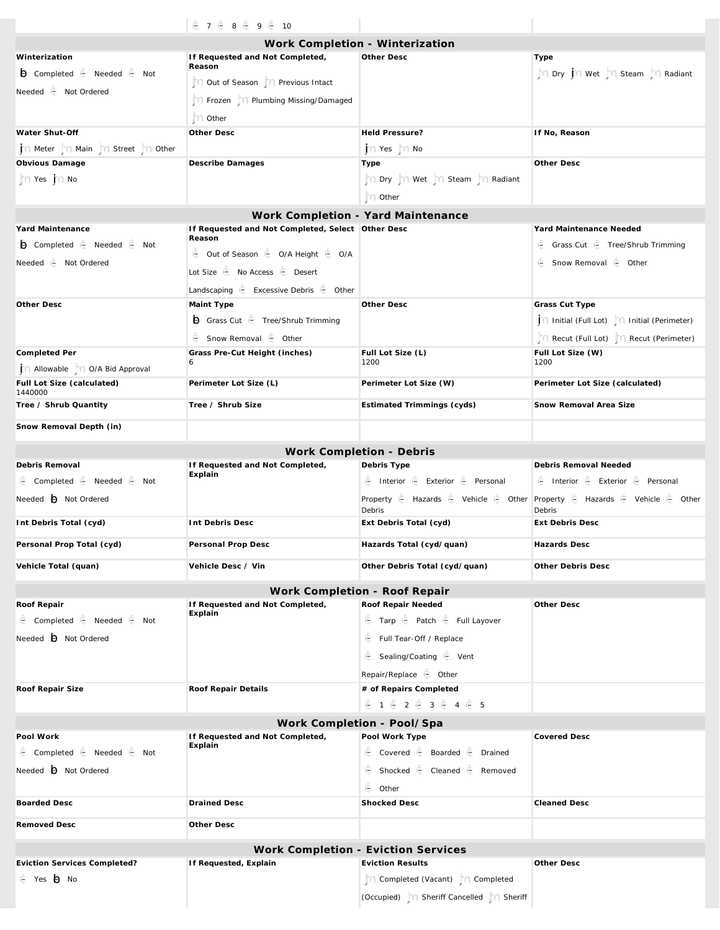|                                                 | € 7 € 8 € 9 € 10                                            |                                          |                                                                                                                                                 |  |  |
|-------------------------------------------------|-------------------------------------------------------------|------------------------------------------|-------------------------------------------------------------------------------------------------------------------------------------------------|--|--|
| Work Completion - Winterization                 |                                                             |                                          |                                                                                                                                                 |  |  |
| Winterization                                   | If Requested and Not Completed,<br>Reason                   | Other Desc                               | Type                                                                                                                                            |  |  |
| <b>b</b> Completed it Needed it Not             | Out of Season     Previous Intact                           |                                          | n Dry no Wet no Steam no Radiant                                                                                                                |  |  |
| Needed i <b>e</b> Not Ordered                   | n Frozen   n Plumbing Missing/Damaged                       |                                          |                                                                                                                                                 |  |  |
|                                                 | n Other                                                     |                                          |                                                                                                                                                 |  |  |
| Water Shut-Off                                  | Other Desc                                                  | Held Pressure?                           | If No, Reason                                                                                                                                   |  |  |
| n Meter n Main n Street n Other                 |                                                             | $\Gamma$ Yes $\Gamma$ No                 |                                                                                                                                                 |  |  |
| Obvious Damage                                  | Describe Damages                                            | Type                                     | Other Desc                                                                                                                                      |  |  |
| $\ln$ Yes $\ln$ No                              |                                                             | n Dry n Wet n Steam n Radiant            |                                                                                                                                                 |  |  |
|                                                 |                                                             | n Other                                  |                                                                                                                                                 |  |  |
|                                                 |                                                             | Work Completion - Yard Maintenance       |                                                                                                                                                 |  |  |
| Yard Maintenance                                | If Requested and Not Completed, Select Other Desc<br>Reason |                                          | Yard Maintenance Needed                                                                                                                         |  |  |
| <b>b</b> Completed it Needed it Not             | ie Out of Season ie O/A Height ie O/A                       |                                          | Grass Cut   Tree/Shrub Trimming                                                                                                                 |  |  |
| Needed is Not Ordered                           | Lot Size in No Access in Desert                             |                                          | ie Snow Removal ie Other                                                                                                                        |  |  |
|                                                 | Landscaping $\oplus$ Excessive Debris $\oplus$ Other        |                                          |                                                                                                                                                 |  |  |
| Other Desc                                      | Maint Type                                                  | Other Desc                               | Grass Cut Type                                                                                                                                  |  |  |
|                                                 | Grass Cut <b>E</b> Tree/Shrub Trimming                      |                                          | ∩ Initial (Full Lot)   ∩ Initial (Perimeter)                                                                                                    |  |  |
|                                                 | ie Snow Removal ie Other                                    |                                          | Recut (Full Lot)     Recut (Perimeter)                                                                                                          |  |  |
| Completed Per                                   | Grass Pre-Cut Height (inches)                               | Full Lot Size (L)                        | Full Lot Size (W)                                                                                                                               |  |  |
| j ∩ Allowable   ∩ O/A Bid Approval              | 6                                                           | 1200                                     | 1200                                                                                                                                            |  |  |
| Full Lot Size (calculated)<br>1440000           | Perimeter Lot Size (L)                                      | Perimeter Lot Size (W)                   | Perimeter Lot Size (calculated)                                                                                                                 |  |  |
| Tree / Shrub Quantity                           | Tree / Shrub Size                                           | Estimated Trimmings (cyds)               | Snow Removal Area Size                                                                                                                          |  |  |
| Snow Removal Depth (in)                         |                                                             |                                          |                                                                                                                                                 |  |  |
|                                                 |                                                             |                                          |                                                                                                                                                 |  |  |
| Debris Removal                                  | If Requested and Not Completed,                             | Work Completion - Debris<br>Debris Type  | Debris Removal Needed                                                                                                                           |  |  |
| <b>€</b> Completed <b>€</b> Needed <b>€</b> Not | Explain                                                     | ie Interior ie Exterior ie Personal      | E Interior E Exterior E Personal                                                                                                                |  |  |
| Needed $\bigoplus$ Not Ordered                  |                                                             | Debris                                   | Property $\bigoplus$ Hazards $\bigoplus$ Vehicle $\bigoplus$ Other Property $\bigoplus$ Hazards $\bigoplus$ Vehicle $\bigoplus$ Other<br>Debris |  |  |
| Int Debris Total (cyd)                          | Int Debris Desc                                             | Ext Debris Total (cyd)                   | <b>Ext Debris Desc</b>                                                                                                                          |  |  |
| Personal Prop Total (cyd)                       | Personal Prop Desc                                          | Hazards Total (cyd/quan)                 | Hazards Desc                                                                                                                                    |  |  |
| Vehicle Total (quan)                            | Vehicle Desc / Vin                                          | Other Debris Total (cyd/quan)            | Other Debris Desc                                                                                                                               |  |  |
| Work Completion - Roof Repair                   |                                                             |                                          |                                                                                                                                                 |  |  |
| Roof Repair                                     | If Requested and Not Completed,                             | Roof Repair Needed                       | Other Desc                                                                                                                                      |  |  |
| ie Completed ie Needed ie Not                   | Explain                                                     | E Tarp E Patch E Full Layover            |                                                                                                                                                 |  |  |
| Needed <b>O</b> Not Ordered                     |                                                             | Full Tear-Off / Replace                  |                                                                                                                                                 |  |  |
|                                                 |                                                             | ie Sealing/Coating ie Vent               |                                                                                                                                                 |  |  |
|                                                 |                                                             | Repair/Replace ig Other                  |                                                                                                                                                 |  |  |
| Roof Repair Size                                | Roof Repair Details                                         | # of Repairs Completed                   |                                                                                                                                                 |  |  |
|                                                 |                                                             | <b>色1 色2 色3 色4 色5</b>                    |                                                                                                                                                 |  |  |
| Work Completion - Pool/Spa                      |                                                             |                                          |                                                                                                                                                 |  |  |
| Pool Work                                       | If Requested and Not Completed,<br>Explain                  | Pool Work Type                           | <b>Covered Desc</b>                                                                                                                             |  |  |
| ie Completed ie Needed ie Not                   |                                                             | Covered E Boarded E Drained              |                                                                                                                                                 |  |  |
| Needed $\bigoplus$ Not Ordered                  |                                                             | ie Shocked ie Cleaned ie Removed         |                                                                                                                                                 |  |  |
|                                                 |                                                             | ie Other                                 |                                                                                                                                                 |  |  |
| <b>Boarded Desc</b>                             | <b>Drained Desc</b>                                         | <b>Shocked Desc</b>                      | <b>Cleaned Desc</b>                                                                                                                             |  |  |
| Removed Desc                                    | Other Desc                                                  |                                          |                                                                                                                                                 |  |  |
|                                                 |                                                             | Work Completion - Eviction Services      |                                                                                                                                                 |  |  |
| Eviction Services Completed?                    | If Requested, Explain                                       | <b>Eviction Results</b>                  | Other Desc                                                                                                                                      |  |  |
| i <sup>n</sup> Yes in No                        |                                                             | n Completed (Vacant) n Completed         |                                                                                                                                                 |  |  |
|                                                 |                                                             | (Occupied)   Sheriff Cancelled   Sheriff |                                                                                                                                                 |  |  |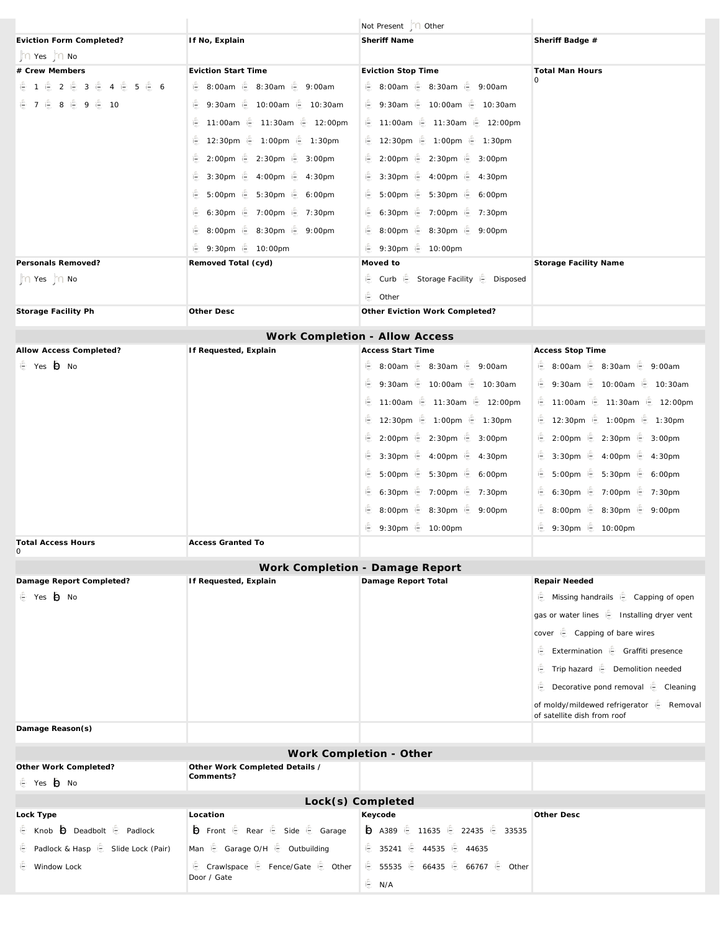|                                                                |                                                  | Not Present   0 Other                                  |                                                                          |
|----------------------------------------------------------------|--------------------------------------------------|--------------------------------------------------------|--------------------------------------------------------------------------|
| Eviction Form Completed?                                       | If No, Explain                                   | Sheriff Name                                           | Sheriff Badge #                                                          |
| $\mathbb{M} \cap$ Yes $\mathbb{M} \cap$ No                     |                                                  |                                                        |                                                                          |
| # Crew Members                                                 | <b>Eviction Start Time</b>                       | Eviction Stop Time                                     | Total Man Hours                                                          |
| 毛 1 毛 2 毛 3 毛 4 毛 5 毛 6                                        |                                                  | <b>€</b> 8:00am <b>€</b> 8:30am <b>€</b> 9:00am        |                                                                          |
| € 7 6 8 6 9 6 10                                               | <b>● 9:30am</b> ● 10:00am ● 10:30am              | <b>● 9:30am</b> ● 10:00am ● 10:30am                    |                                                                          |
|                                                                | <b>€ 11:00am € 11:30am € 12:00pm</b>             | <b>● 11:00am</b> ● 11:30am ● 12:00pm                   |                                                                          |
|                                                                | <b>● 12:30pm ● 1:00pm ● 1:30pm</b>               | <b>● 12:30pm ● 1:00pm ● 1:30pm</b>                     |                                                                          |
|                                                                | 2:00pm   2:30pm   3:00pm                         | <b>● 2:00pm ● 2:30pm ● 3:00pm</b>                      |                                                                          |
|                                                                | <b>● 3:30pm ● 4:00pm ● 4:30pm</b>                | <b>● 3:30pm ● 4:00pm ● 4:30pm</b>                      |                                                                          |
|                                                                | <b>€</b> 5:00pm <b>€</b> 5:30pm <b>€</b> 6:00pm  | <b>€</b> 5:00pm <b>€</b> 5:30pm <b>€</b> 6:00pm        |                                                                          |
|                                                                | <b>€ 6:30pm € 7:00pm € 7:30pm</b>                | i⊜ 6:30pm i⊜ 7:00pm i⊜ 7:30pm                          |                                                                          |
|                                                                |                                                  | <b>● 8:00pm ● 8:30pm ● 9:00pm</b>                      |                                                                          |
|                                                                | <b>● 9:30pm</b> ● 10:00pm                        | <b>● 9:30pm</b> ● 10:00pm                              |                                                                          |
| Personals Removed?                                             | Removed Total (cyd)                              | Moved to                                               | Storage Facility Name                                                    |
|                                                                |                                                  | Curb E Storage Facility E Disposed                     |                                                                          |
| $\mathcal{L} \cap \mathsf{Yes}$ $\mathcal{L} \cap \mathsf{No}$ |                                                  |                                                        |                                                                          |
| Storage Facility Ph                                            | Other Desc                                       | i <sup>2</sup> Other<br>Other Eviction Work Completed? |                                                                          |
|                                                                |                                                  |                                                        |                                                                          |
|                                                                |                                                  | Work Completion - Allow Access                         |                                                                          |
| Allow Access Completed?                                        | If Requested, Explain                            | <b>Access Start Time</b>                               | Access Stop Time                                                         |
| i <sup>e</sup> Yes io No                                       |                                                  | <b>€</b> 8:00am <b>€</b> 8:30am <b>€</b> 9:00am        | <b>€</b> 8:00am <b>€</b> 8:30am <b>€</b> 9:00am                          |
|                                                                |                                                  | <b>● 9:30am</b> ● 10:00am ● 10:30am                    | <b>● 9:30am</b> ● 10:00am ● 10:30am                                      |
|                                                                |                                                  | <b>● 11:00am</b> ● 11:30am ● 12:00pm                   | <b>€ 11:00am € 11:30am € 12:00pm</b>                                     |
|                                                                |                                                  | <b>● 12:30pm ● 1:00pm ● 1:30pm</b>                     | <b>€ 12:30pm € 1:00pm € 1:30pm</b>                                       |
|                                                                |                                                  | <b>● 2:00pm</b> ● 2:30pm ● 3:00pm                      |                                                                          |
|                                                                |                                                  | <b>● 3:30pm</b> ● 4:00pm ● 4:30pm                      | 1 3:30pm 1 4:00pm 1 4:30pm                                               |
|                                                                |                                                  |                                                        | <b>€</b> 5:00pm <b>€</b> 5:30pm <b>€</b> 6:00pm                          |
|                                                                |                                                  | i⊜ 6:30pm i⊜ 7:00pm i⊜ 7:30pm                          | <b>€ 6:30pm € 7:00pm € 7:30pm</b>                                        |
|                                                                |                                                  |                                                        |                                                                          |
|                                                                |                                                  | <b>€</b> 8:00pm <b>€</b> 8:30pm <b>€</b> 9:00pm        | <b>€</b> 8:00pm <b>€</b> 8:30pm <b>€</b> 9:00pm                          |
| <b>Total Access Hours</b>                                      | Access Granted To                                | i <sup>5</sup> 9:30pm i <sup>5</sup> 10:00pm           | i <sup>2</sup> 9:30pm i <sup>2</sup> 10:00pm                             |
| 0                                                              |                                                  |                                                        |                                                                          |
|                                                                |                                                  | Work Completion - Damage Report                        |                                                                          |
| Damage Report Completed?                                       | If Requested, Explain                            | Damage Report Total                                    | Repair Needed                                                            |
| i <sup>n</sup> Yes in No                                       |                                                  |                                                        | Missing handrails is Capping of open                                     |
|                                                                |                                                  |                                                        | gas or water lines is Installing dryer vent                              |
|                                                                |                                                  |                                                        | cover in Capping of bare wires                                           |
|                                                                |                                                  |                                                        | E Extermination E Graffiti presence                                      |
|                                                                |                                                  |                                                        | Fig. Trip hazard E Demolition needed                                     |
|                                                                |                                                  |                                                        |                                                                          |
|                                                                |                                                  |                                                        | <b>E</b> Decorative pond removal <b>E</b> Cleaning                       |
|                                                                |                                                  |                                                        | of moldy/mildewed refrigerator if Removal<br>of satellite dish from roof |
| Damage Reason(s)                                               |                                                  |                                                        |                                                                          |
|                                                                |                                                  |                                                        |                                                                          |
|                                                                |                                                  | Work Completion - Other                                |                                                                          |
| Other Work Completed?<br>i <sup>e</sup> Yes io No              | Other Work Completed Details /<br>Comments?      |                                                        |                                                                          |
|                                                                |                                                  |                                                        |                                                                          |
|                                                                |                                                  | Lock(s) Completed                                      |                                                                          |
| Lock Type<br>E Knob O Deadbolt E Padlock                       | Location                                         | Keycode                                                | Other Desc                                                               |
|                                                                | <b>b</b> Front <i>i</i> e Rear ie Side ie Garage | → A389 € 11635 € 22435 € 33535                         |                                                                          |
| Padlock & Hasp  Slide Lock (Pair)                              | Man is Garage O/H is Outbuilding                 | 1 35241 € 44535 € 44635                                |                                                                          |
| <b>Window Lock</b>                                             | Crawlspace E Fence/Gate E Other<br>Door / Gate   | <b>€ 55535 € 66435 € 66767 € Other</b>                 |                                                                          |
|                                                                |                                                  | i⊜ N/A                                                 |                                                                          |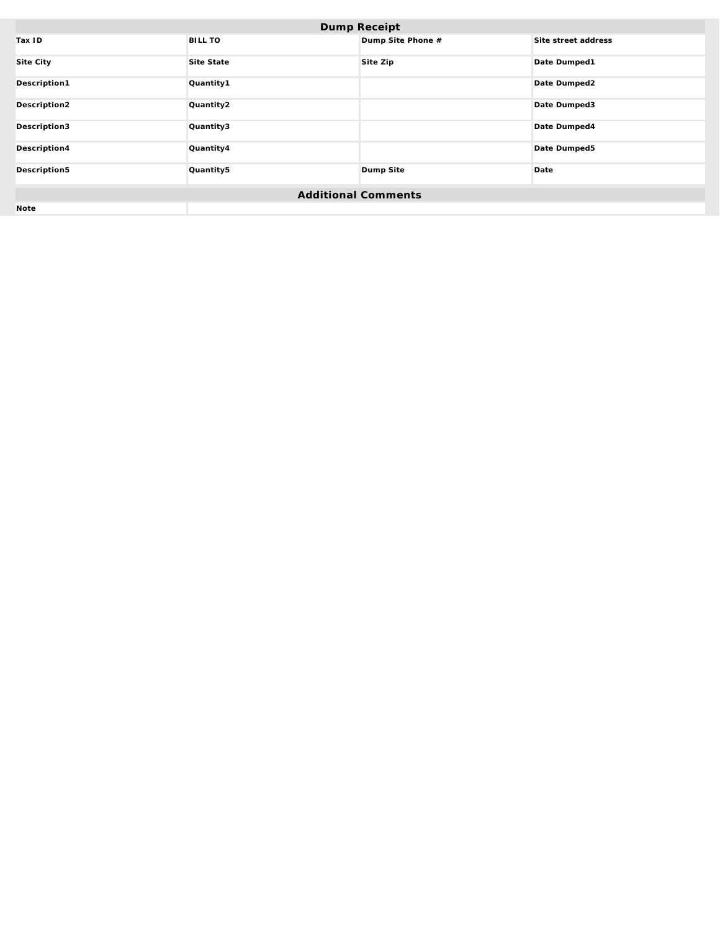| Dump Receipt               |                |                   |                     |  |
|----------------------------|----------------|-------------------|---------------------|--|
| Tax ID                     | <b>BILL TO</b> | Dump Site Phone # | Site street address |  |
| Site City                  | Site State     | Site Zip          | Date Dumped1        |  |
| Description1               | Quantity1      |                   | Date Dumped2        |  |
| Description2               | Quantity2      |                   | Date Dumped3        |  |
| Description3               | Quantity3      |                   | Date Dumped4        |  |
| Description4               | Quantity4      |                   | Date Dumped5        |  |
| Description5               | Quantity5      | Dump Site         | Date                |  |
| <b>Additional Comments</b> |                |                   |                     |  |
| Note                       |                |                   |                     |  |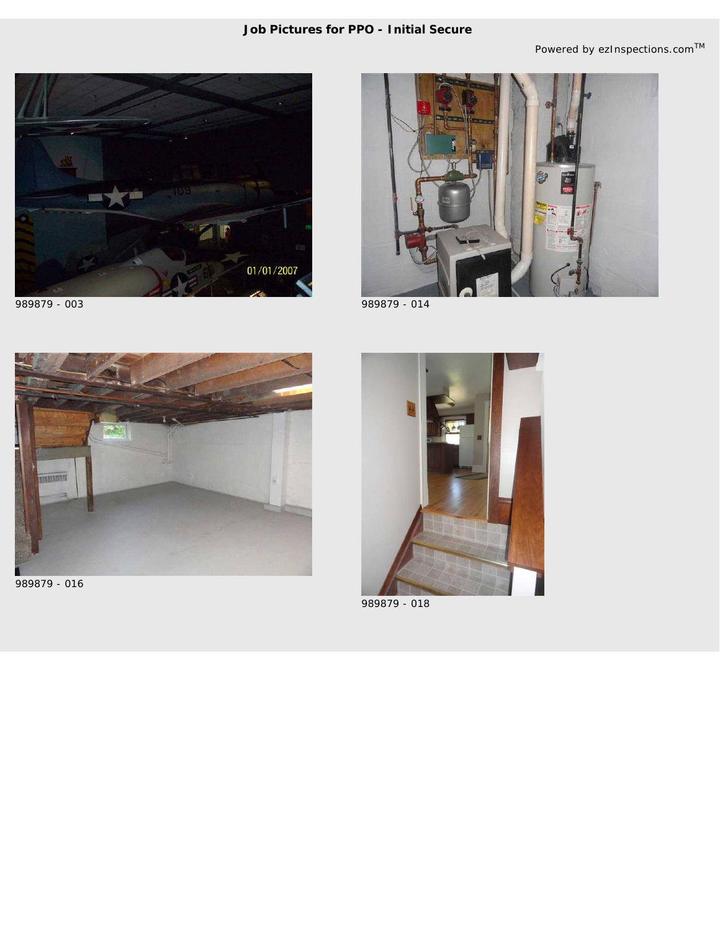### **Job Pictures for** *PPO - Initial Secure*

*Powered by ezInspections.comTM*





989879 - 003 989879 - 014



989879 - 016



989879 - 018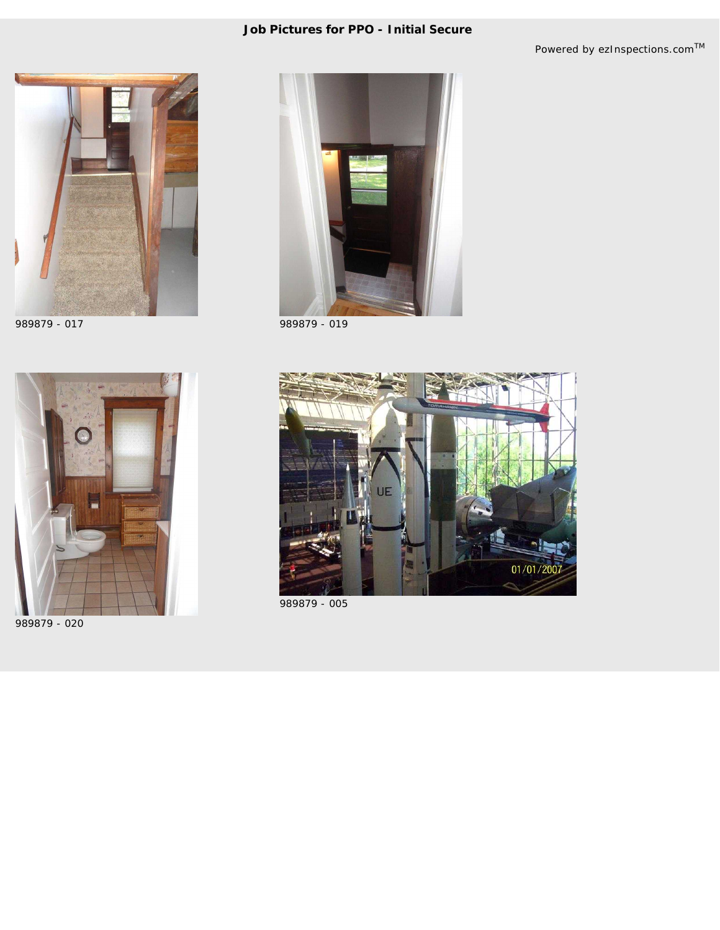## **Job Pictures for** *PPO - Initial Secure*

*Powered by ezInspections.comTM*





989879 - 020



989879 - 017 989879 - 019



989879 - 005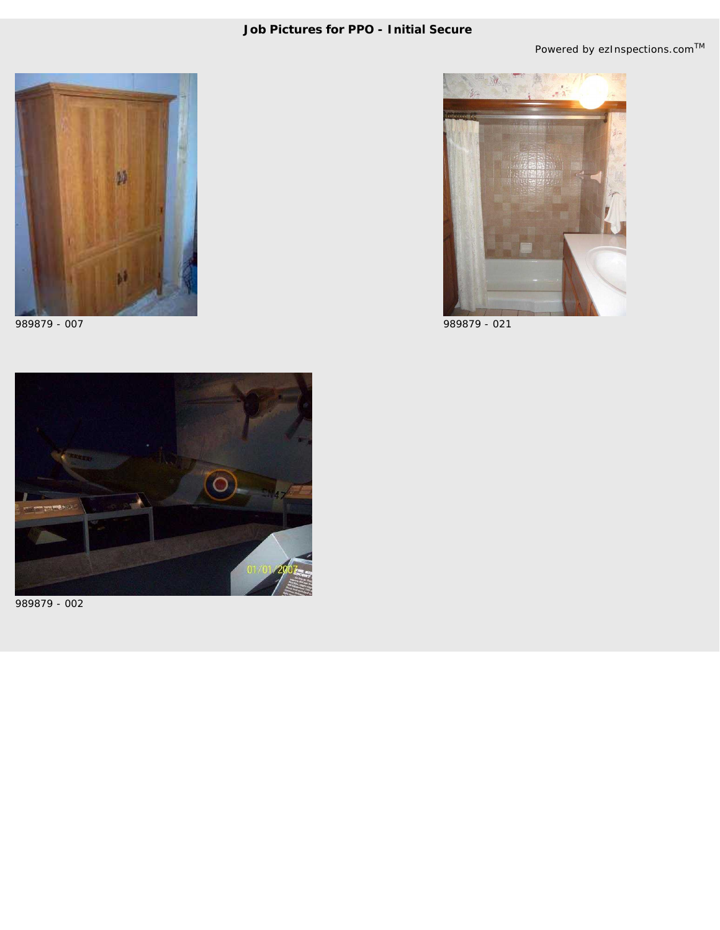



989879 - 007 989879 - 021



989879 - 002